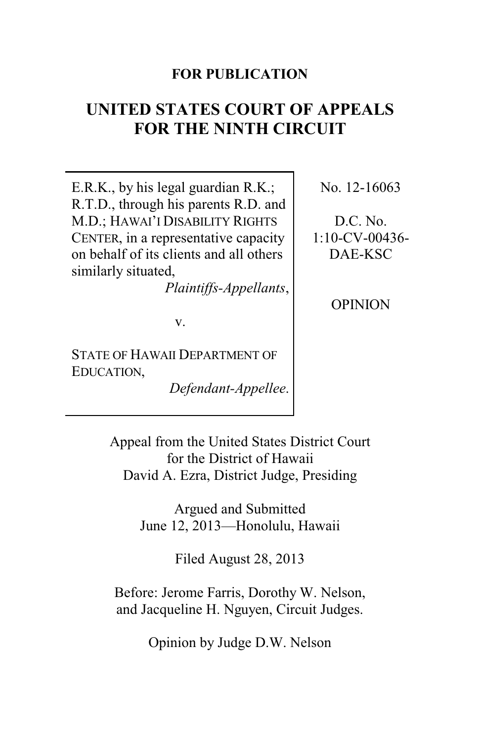### **FOR PUBLICATION**

# **UNITED STATES COURT OF APPEALS FOR THE NINTH CIRCUIT**

E.R.K., by his legal guardian R.K.; R.T.D., through his parents R.D. and M.D.; HAWAI'I DISABILITY RIGHTS CENTER, in a representative capacity on behalf of its clients and all others similarly situated,

*Plaintiffs-Appellants*,

v.

STATE OF HAWAII DEPARTMENT OF EDUCATION,

*Defendant-Appellee*.

No. 12-16063

D.C. No. 1:10-CV-00436- DAE-KSC

OPINION

Appeal from the United States District Court for the District of Hawaii David A. Ezra, District Judge, Presiding

> Argued and Submitted June 12, 2013—Honolulu, Hawaii

> > Filed August 28, 2013

Before: Jerome Farris, Dorothy W. Nelson, and Jacqueline H. Nguyen, Circuit Judges.

Opinion by Judge D.W. Nelson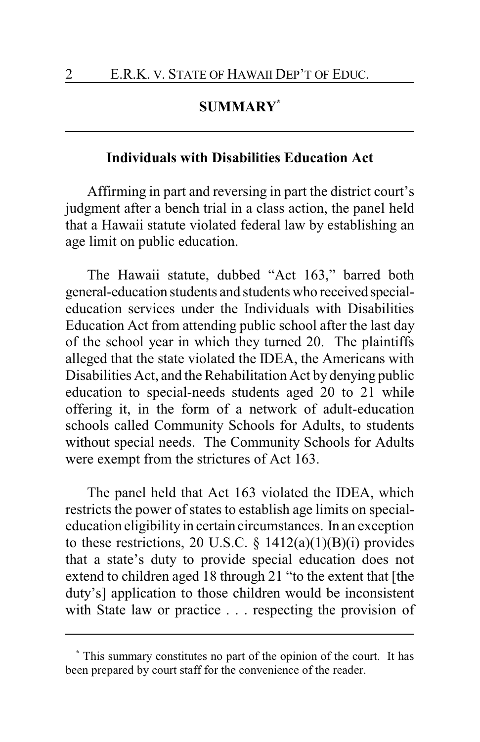# **SUMMARY\***

#### **Individuals with Disabilities Education Act**

Affirming in part and reversing in part the district court's judgment after a bench trial in a class action, the panel held that a Hawaii statute violated federal law by establishing an age limit on public education.

The Hawaii statute, dubbed "Act 163," barred both general-education students and students who received specialeducation services under the Individuals with Disabilities Education Act from attending public school after the last day of the school year in which they turned 20. The plaintiffs alleged that the state violated the IDEA, the Americans with Disabilities Act, and the Rehabilitation Act by denying public education to special-needs students aged 20 to 21 while offering it, in the form of a network of adult-education schools called Community Schools for Adults, to students without special needs. The Community Schools for Adults were exempt from the strictures of Act 163.

The panel held that Act 163 violated the IDEA, which restricts the power of states to establish age limits on specialeducation eligibility in certain circumstances. In an exception to these restrictions, 20 U.S.C. §  $1412(a)(1)(B)(i)$  provides that a state's duty to provide special education does not extend to children aged 18 through 21 "to the extent that [the duty's] application to those children would be inconsistent with State law or practice . . . respecting the provision of

**<sup>\*</sup>** This summary constitutes no part of the opinion of the court. It has been prepared by court staff for the convenience of the reader.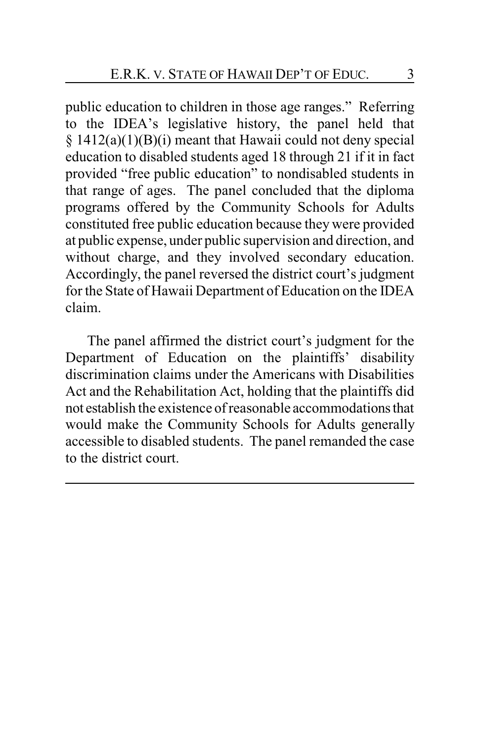public education to children in those age ranges." Referring to the IDEA's legislative history, the panel held that  $§ 1412(a)(1)(B)(i)$  meant that Hawaii could not deny special education to disabled students aged 18 through 21 if it in fact provided "free public education" to nondisabled students in that range of ages. The panel concluded that the diploma programs offered by the Community Schools for Adults constituted free public education because they were provided at public expense, under public supervision and direction, and without charge, and they involved secondary education. Accordingly, the panel reversed the district court's judgment for the State of Hawaii Department of Education on the IDEA claim.

The panel affirmed the district court's judgment for the Department of Education on the plaintiffs' disability discrimination claims under the Americans with Disabilities Act and the Rehabilitation Act, holding that the plaintiffs did not establish the existence of reasonable accommodationsthat would make the Community Schools for Adults generally accessible to disabled students. The panel remanded the case to the district court.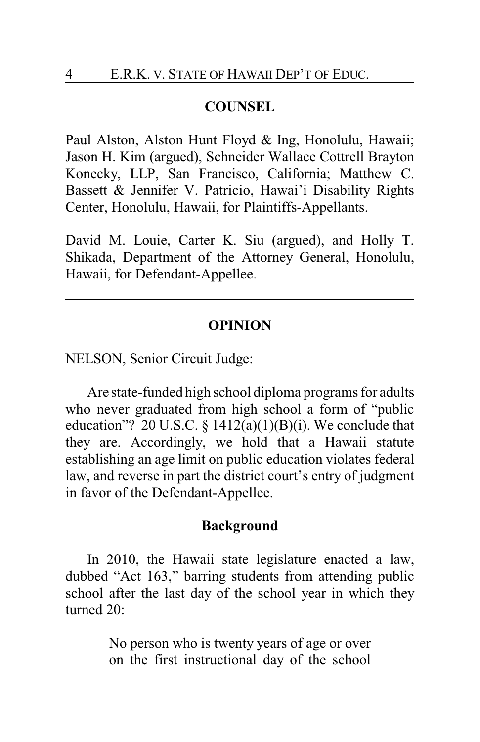#### **COUNSEL**

Paul Alston, Alston Hunt Floyd & Ing, Honolulu, Hawaii; Jason H. Kim (argued), Schneider Wallace Cottrell Brayton Konecky, LLP, San Francisco, California; Matthew C. Bassett & Jennifer V. Patricio, Hawai'i Disability Rights Center, Honolulu, Hawaii, for Plaintiffs-Appellants.

David M. Louie, Carter K. Siu (argued), and Holly T. Shikada, Department of the Attorney General, Honolulu, Hawaii, for Defendant-Appellee.

#### **OPINION**

NELSON, Senior Circuit Judge:

Are state-funded high school diploma programs for adults who never graduated from high school a form of "public education"? 20 U.S.C. §  $1412(a)(1)(B)(i)$ . We conclude that they are. Accordingly, we hold that a Hawaii statute establishing an age limit on public education violates federal law, and reverse in part the district court's entry of judgment in favor of the Defendant-Appellee.

#### **Background**

In 2010, the Hawaii state legislature enacted a law, dubbed "Act 163," barring students from attending public school after the last day of the school year in which they turned 20:

> No person who is twenty years of age or over on the first instructional day of the school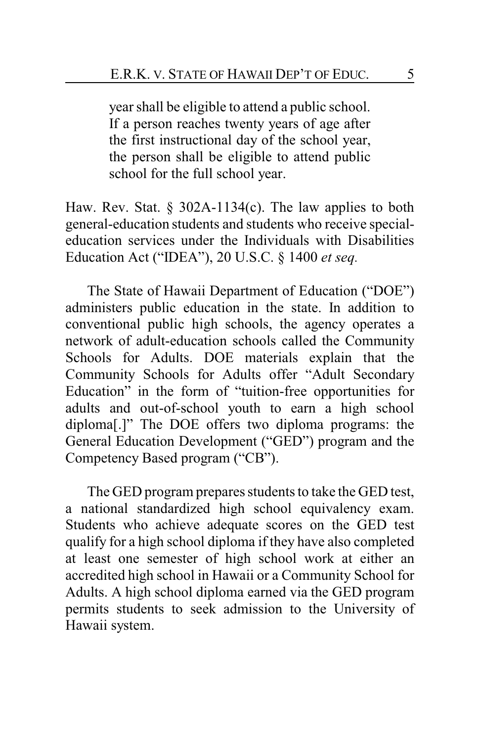year shall be eligible to attend a public school. If a person reaches twenty years of age after the first instructional day of the school year, the person shall be eligible to attend public school for the full school year.

Haw. Rev. Stat.  $\S$  302A-1134(c). The law applies to both general-education students and students who receive specialeducation services under the Individuals with Disabilities Education Act ("IDEA"), 20 U.S.C. § 1400 *et seq.*

The State of Hawaii Department of Education ("DOE") administers public education in the state. In addition to conventional public high schools, the agency operates a network of adult-education schools called the Community Schools for Adults. DOE materials explain that the Community Schools for Adults offer "Adult Secondary Education" in the form of "tuition-free opportunities for adults and out-of-school youth to earn a high school diploma[.]" The DOE offers two diploma programs: the General Education Development ("GED") program and the Competency Based program ("CB").

The GED program prepares students to take the GED test, a national standardized high school equivalency exam. Students who achieve adequate scores on the GED test qualify for a high school diploma if they have also completed at least one semester of high school work at either an accredited high school in Hawaii or a Community School for Adults. A high school diploma earned via the GED program permits students to seek admission to the University of Hawaii system.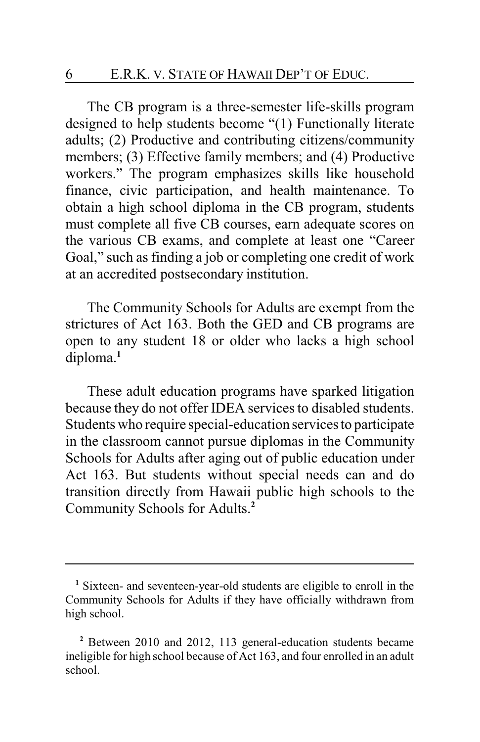The CB program is a three-semester life-skills program designed to help students become "(1) Functionally literate adults; (2) Productive and contributing citizens/community members; (3) Effective family members; and (4) Productive workers." The program emphasizes skills like household finance, civic participation, and health maintenance. To obtain a high school diploma in the CB program, students must complete all five CB courses, earn adequate scores on the various CB exams, and complete at least one "Career Goal," such as finding a job or completing one credit of work at an accredited postsecondary institution.

The Community Schools for Adults are exempt from the strictures of Act 163. Both the GED and CB programs are open to any student 18 or older who lacks a high school diploma.**<sup>1</sup>**

These adult education programs have sparked litigation because they do not offer IDEA services to disabled students. Students who require special-education services to participate in the classroom cannot pursue diplomas in the Community Schools for Adults after aging out of public education under Act 163. But students without special needs can and do transition directly from Hawaii public high schools to the Community Schools for Adults.**<sup>2</sup>**

**<sup>1</sup>** Sixteen- and seventeen-year-old students are eligible to enroll in the Community Schools for Adults if they have officially withdrawn from high school.

**<sup>2</sup>** Between 2010 and 2012, 113 general-education students became ineligible for high school because of Act 163, and four enrolled in an adult school.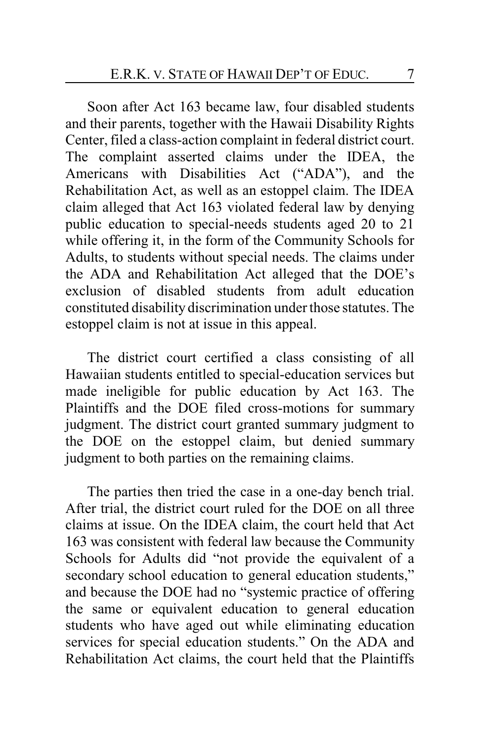Soon after Act 163 became law, four disabled students and their parents, together with the Hawaii Disability Rights Center, filed a class-action complaint in federal district court. The complaint asserted claims under the IDEA, the Americans with Disabilities Act ("ADA"), and the Rehabilitation Act, as well as an estoppel claim. The IDEA claim alleged that Act 163 violated federal law by denying public education to special-needs students aged 20 to 21 while offering it, in the form of the Community Schools for Adults, to students without special needs. The claims under the ADA and Rehabilitation Act alleged that the DOE's exclusion of disabled students from adult education constituted disability discrimination under those statutes. The estoppel claim is not at issue in this appeal.

The district court certified a class consisting of all Hawaiian students entitled to special-education services but made ineligible for public education by Act 163. The Plaintiffs and the DOE filed cross-motions for summary judgment. The district court granted summary judgment to the DOE on the estoppel claim, but denied summary judgment to both parties on the remaining claims.

The parties then tried the case in a one-day bench trial. After trial, the district court ruled for the DOE on all three claims at issue. On the IDEA claim, the court held that Act 163 was consistent with federal law because the Community Schools for Adults did "not provide the equivalent of a secondary school education to general education students," and because the DOE had no "systemic practice of offering the same or equivalent education to general education students who have aged out while eliminating education services for special education students." On the ADA and Rehabilitation Act claims, the court held that the Plaintiffs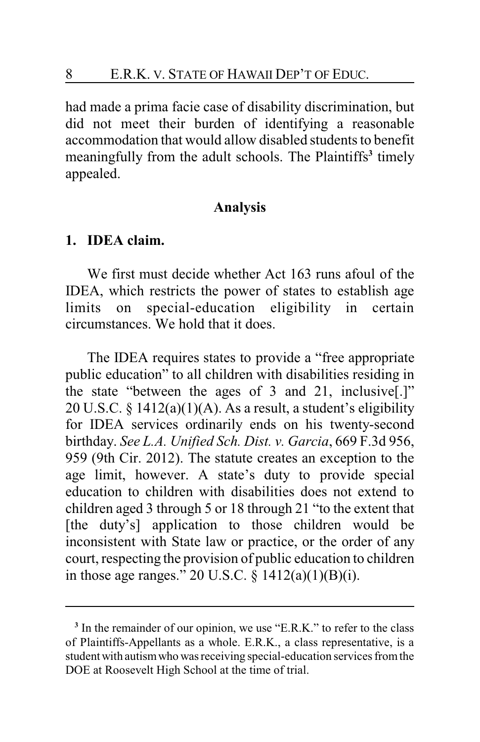had made a prima facie case of disability discrimination, but did not meet their burden of identifying a reasonable accommodation that would allow disabled students to benefit meaningfully from the adult schools. The Plaintiffs**<sup>3</sup>** timely appealed.

#### **Analysis**

#### **1. IDEA claim.**

We first must decide whether Act 163 runs afoul of the IDEA, which restricts the power of states to establish age limits on special-education eligibility in certain circumstances. We hold that it does.

The IDEA requires states to provide a "free appropriate public education" to all children with disabilities residing in the state "between the ages of 3 and 21, inclusive[.]" 20 U.S.C. § 1412(a)(1)(A). As a result, a student's eligibility for IDEA services ordinarily ends on his twenty-second birthday. *See L.A. Unified Sch. Dist. v. Garcia*, 669 F.3d 956, 959 (9th Cir. 2012). The statute creates an exception to the age limit, however. A state's duty to provide special education to children with disabilities does not extend to children aged 3 through 5 or 18 through 21 "to the extent that [the duty's] application to those children would be inconsistent with State law or practice, or the order of any court, respecting the provision of public education to children in those age ranges." 20 U.S.C. § 1412(a)(1)(B)(i).

<sup>&</sup>lt;sup>3</sup> In the remainder of our opinion, we use "E.R.K." to refer to the class of Plaintiffs-Appellants as a whole. E.R.K., a class representative, is a student with autism who was receiving special-education services from the DOE at Roosevelt High School at the time of trial.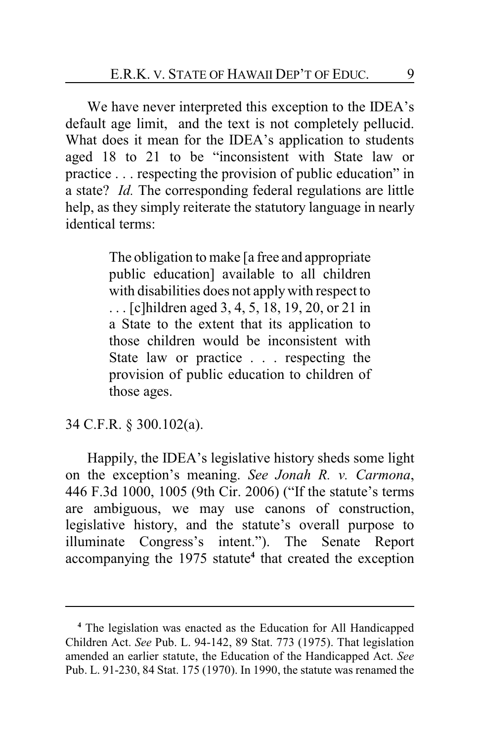We have never interpreted this exception to the IDEA's default age limit, and the text is not completely pellucid. What does it mean for the IDEA's application to students aged 18 to 21 to be "inconsistent with State law or practice . . . respecting the provision of public education" in a state? *Id.* The corresponding federal regulations are little help, as they simply reiterate the statutory language in nearly identical terms:

> The obligation to make [a free and appropriate public education] available to all children with disabilities does not applywith respect to . . . [c]hildren aged 3, 4, 5, 18, 19, 20, or 21 in a State to the extent that its application to those children would be inconsistent with State law or practice . . . respecting the provision of public education to children of those ages.

34 C.F.R. § 300.102(a).

Happily, the IDEA's legislative history sheds some light on the exception's meaning. *See Jonah R. v. Carmona*, 446 F.3d 1000, 1005 (9th Cir. 2006) ("If the statute's terms are ambiguous, we may use canons of construction, legislative history, and the statute's overall purpose to illuminate Congress's intent."). The Senate Report accompanying the 1975 statute**<sup>4</sup>** that created the exception

**<sup>4</sup>** The legislation was enacted as the Education for All Handicapped Children Act. *See* Pub. L. 94-142, 89 Stat. 773 (1975). That legislation amended an earlier statute, the Education of the Handicapped Act. *See* Pub. L. 91-230, 84 Stat. 175 (1970). In 1990, the statute was renamed the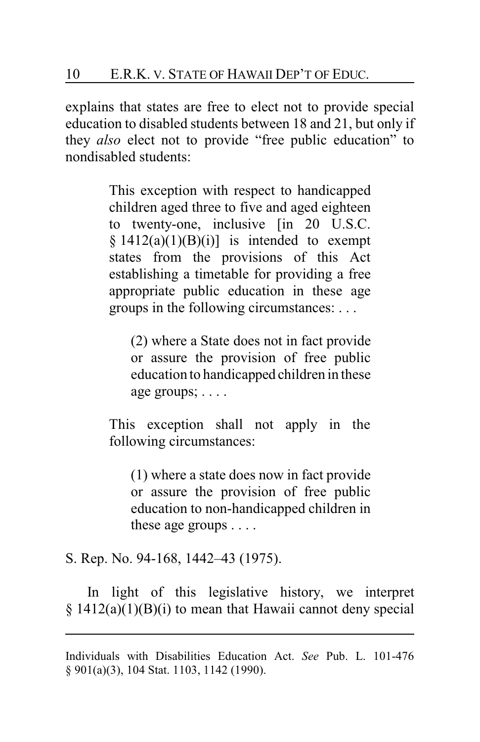explains that states are free to elect not to provide special education to disabled students between 18 and 21, but only if they *also* elect not to provide "free public education" to nondisabled students:

> This exception with respect to handicapped children aged three to five and aged eighteen to twenty-one, inclusive [in 20 U.S.C.]  $§ 1412(a)(1)(B)(i)]$  is intended to exempt states from the provisions of this Act establishing a timetable for providing a free appropriate public education in these age groups in the following circumstances: . . .

(2) where a State does not in fact provide or assure the provision of free public education to handicapped children in these age groups; . . . .

This exception shall not apply in the following circumstances:

(1) where a state does now in fact provide or assure the provision of free public education to non-handicapped children in these age groups . . . .

S. Rep. No. 94-168, 1442–43 (1975).

In light of this legislative history, we interpret  $\S$  1412(a)(1)(B)(i) to mean that Hawaii cannot deny special

Individuals with Disabilities Education Act. *See* Pub. L. 101-476 § 901(a)(3), 104 Stat. 1103, 1142 (1990).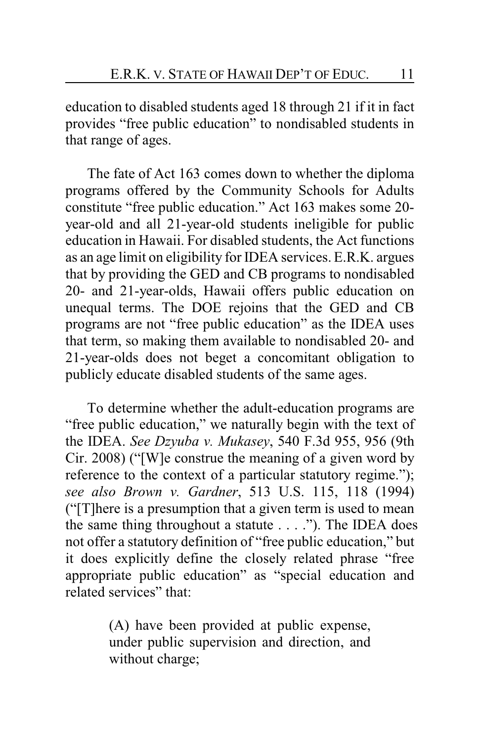education to disabled students aged 18 through 21 if it in fact provides "free public education" to nondisabled students in that range of ages.

The fate of Act 163 comes down to whether the diploma programs offered by the Community Schools for Adults constitute "free public education." Act 163 makes some 20 year-old and all 21-year-old students ineligible for public education in Hawaii. For disabled students, the Act functions as an age limit on eligibility for IDEA services. E.R.K. argues that by providing the GED and CB programs to nondisabled 20- and 21-year-olds, Hawaii offers public education on unequal terms. The DOE rejoins that the GED and CB programs are not "free public education" as the IDEA uses that term, so making them available to nondisabled 20- and 21-year-olds does not beget a concomitant obligation to publicly educate disabled students of the same ages.

To determine whether the adult-education programs are "free public education," we naturally begin with the text of the IDEA. *See Dzyuba v. Mukasey*, 540 F.3d 955, 956 (9th Cir. 2008) ("[W]e construe the meaning of a given word by reference to the context of a particular statutory regime."); *see also Brown v. Gardner*, 513 U.S. 115, 118 (1994) ("[T]here is a presumption that a given term is used to mean the same thing throughout a statute . . . ."). The IDEA does not offer a statutory definition of "free public education," but it does explicitly define the closely related phrase "free appropriate public education" as "special education and related services" that:

> (A) have been provided at public expense, under public supervision and direction, and without charge;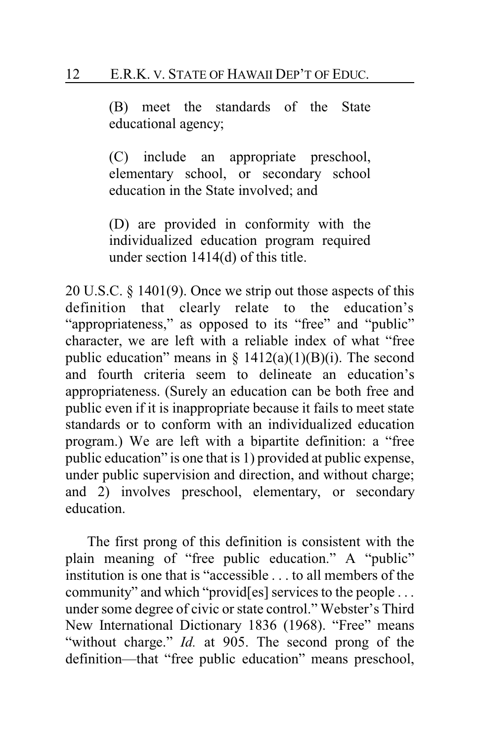(B) meet the standards of the State educational agency;

(C) include an appropriate preschool, elementary school, or secondary school education in the State involved; and

(D) are provided in conformity with the individualized education program required under section 1414(d) of this title.

20 U.S.C. § 1401(9). Once we strip out those aspects of this definition that clearly relate to the education's "appropriateness," as opposed to its "free" and "public" character, we are left with a reliable index of what "free public education" means in  $\S$  1412(a)(1)(B)(i). The second and fourth criteria seem to delineate an education's appropriateness. (Surely an education can be both free and public even if it is inappropriate because it fails to meet state standards or to conform with an individualized education program.) We are left with a bipartite definition: a "free public education" is one that is 1) provided at public expense, under public supervision and direction, and without charge; and 2) involves preschool, elementary, or secondary education.

The first prong of this definition is consistent with the plain meaning of "free public education." A "public" institution is one that is "accessible . . . to all members of the community" and which "provid[es] services to the people . . . under some degree of civic or state control." Webster's Third New International Dictionary 1836 (1968). "Free" means "without charge." *Id.* at 905. The second prong of the definition—that "free public education" means preschool,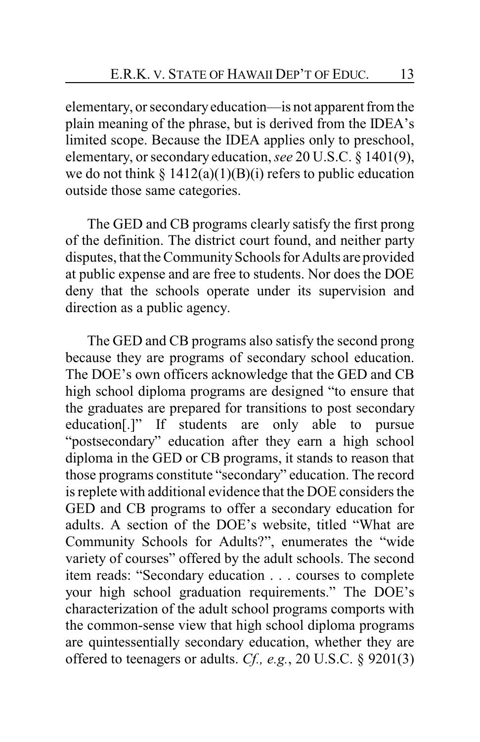elementary, or secondaryeducation—is not apparent from the plain meaning of the phrase, but is derived from the IDEA's limited scope. Because the IDEA applies only to preschool, elementary, or secondary education, *see* 20 U.S.C. § 1401(9), we do not think  $\S 1412(a)(1)(B)(i)$  refers to public education outside those same categories.

The GED and CB programs clearly satisfy the first prong of the definition. The district court found, and neither party disputes, that the Community Schools for Adults are provided at public expense and are free to students. Nor does the DOE deny that the schools operate under its supervision and direction as a public agency.

The GED and CB programs also satisfy the second prong because they are programs of secondary school education. The DOE's own officers acknowledge that the GED and CB high school diploma programs are designed "to ensure that the graduates are prepared for transitions to post secondary education[.]" If students are only able to pursue "postsecondary" education after they earn a high school diploma in the GED or CB programs, it stands to reason that those programs constitute "secondary" education. The record is replete with additional evidence that the DOE considers the GED and CB programs to offer a secondary education for adults. A section of the DOE's website, titled "What are Community Schools for Adults?", enumerates the "wide variety of courses" offered by the adult schools. The second item reads: "Secondary education . . . courses to complete your high school graduation requirements." The DOE's characterization of the adult school programs comports with the common-sense view that high school diploma programs are quintessentially secondary education, whether they are offered to teenagers or adults. *Cf., e.g.*, 20 U.S.C. § 9201(3)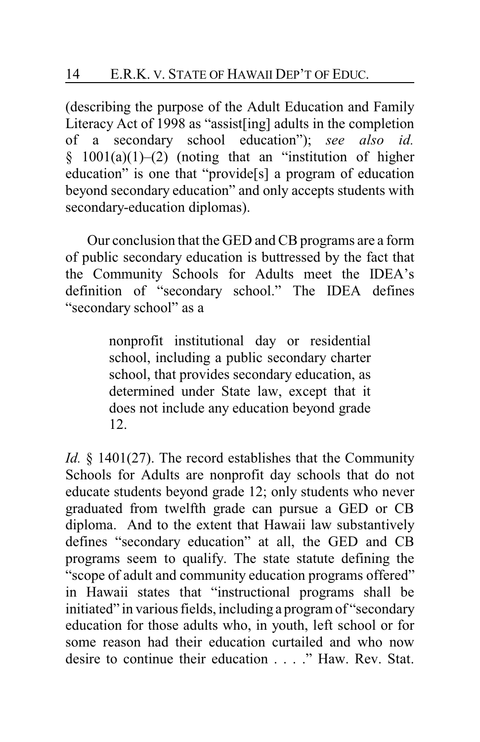(describing the purpose of the Adult Education and Family Literacy Act of 1998 as "assist[ing] adults in the completion of a secondary school education"); *see also id.*  $§$  1001(a)(1)–(2) (noting that an "institution of higher education" is one that "provide[s] a program of education beyond secondary education" and only accepts students with secondary-education diplomas).

Our conclusion that the GED and CB programs are a form of public secondary education is buttressed by the fact that the Community Schools for Adults meet the IDEA's definition of "secondary school." The IDEA defines "secondary school" as a

> nonprofit institutional day or residential school, including a public secondary charter school, that provides secondary education, as determined under State law, except that it does not include any education beyond grade 12.

*Id.* § 1401(27). The record establishes that the Community Schools for Adults are nonprofit day schools that do not educate students beyond grade 12; only students who never graduated from twelfth grade can pursue a GED or CB diploma. And to the extent that Hawaii law substantively defines "secondary education" at all, the GED and CB programs seem to qualify. The state statute defining the "scope of adult and community education programs offered" in Hawaii states that "instructional programs shall be initiated" in various fields, including a program of "secondary education for those adults who, in youth, left school or for some reason had their education curtailed and who now desire to continue their education . . . ." Haw. Rev. Stat.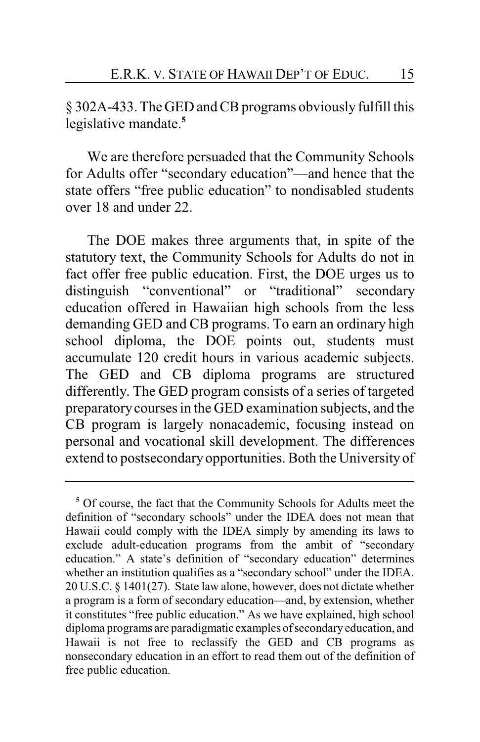§ 302A-433. The GED and CB programs obviously fulfill this legislative mandate.**<sup>5</sup>**

We are therefore persuaded that the Community Schools for Adults offer "secondary education"—and hence that the state offers "free public education" to nondisabled students over 18 and under 22.

The DOE makes three arguments that, in spite of the statutory text, the Community Schools for Adults do not in fact offer free public education. First, the DOE urges us to distinguish "conventional" or "traditional" secondary education offered in Hawaiian high schools from the less demanding GED and CB programs. To earn an ordinary high school diploma, the DOE points out, students must accumulate 120 credit hours in various academic subjects. The GED and CB diploma programs are structured differently. The GED program consists of a series of targeted preparatorycourses in the GED examination subjects, and the CB program is largely nonacademic, focusing instead on personal and vocational skill development. The differences extend to postsecondary opportunities. Both the University of

**<sup>5</sup>** Of course, the fact that the Community Schools for Adults meet the definition of "secondary schools" under the IDEA does not mean that Hawaii could comply with the IDEA simply by amending its laws to exclude adult-education programs from the ambit of "secondary education." A state's definition of "secondary education" determines whether an institution qualifies as a "secondary school" under the IDEA. 20 U.S.C. § 1401(27). State law alone, however, does not dictate whether a program is a form of secondary education—and, by extension, whether it constitutes "free public education." As we have explained, high school diploma programs are paradigmatic examples of secondary education, and Hawaii is not free to reclassify the GED and CB programs as nonsecondary education in an effort to read them out of the definition of free public education.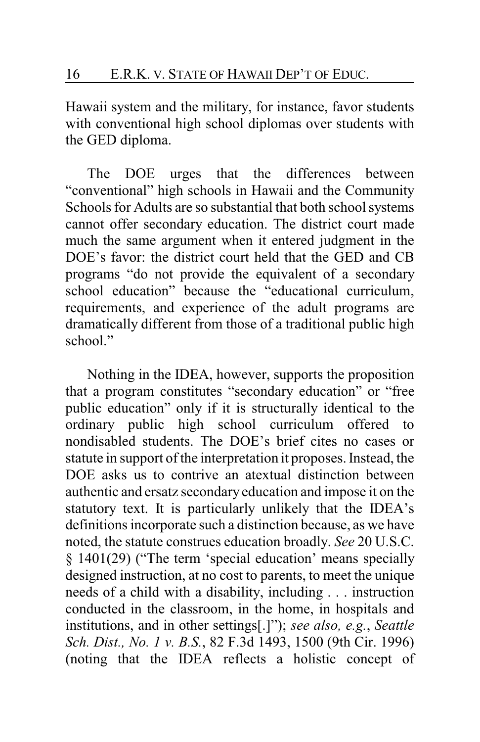Hawaii system and the military, for instance, favor students with conventional high school diplomas over students with the GED diploma.

The DOE urges that the differences between "conventional" high schools in Hawaii and the Community Schools for Adults are so substantial that both school systems cannot offer secondary education. The district court made much the same argument when it entered judgment in the DOE's favor: the district court held that the GED and CB programs "do not provide the equivalent of a secondary school education" because the "educational curriculum, requirements, and experience of the adult programs are dramatically different from those of a traditional public high school."

Nothing in the IDEA, however, supports the proposition that a program constitutes "secondary education" or "free public education" only if it is structurally identical to the ordinary public high school curriculum offered to nondisabled students. The DOE's brief cites no cases or statute in support of the interpretation it proposes. Instead, the DOE asks us to contrive an atextual distinction between authentic and ersatz secondary education and impose it on the statutory text. It is particularly unlikely that the IDEA's definitions incorporate such a distinction because, as we have noted, the statute construes education broadly. *See* 20 U.S.C. § 1401(29) ("The term 'special education' means specially designed instruction, at no cost to parents, to meet the unique needs of a child with a disability, including . . . instruction conducted in the classroom, in the home, in hospitals and institutions, and in other settings[.]"); *see also, e.g.*, *Seattle Sch. Dist., No. 1 v. B.S.*, 82 F.3d 1493, 1500 (9th Cir. 1996) (noting that the IDEA reflects a holistic concept of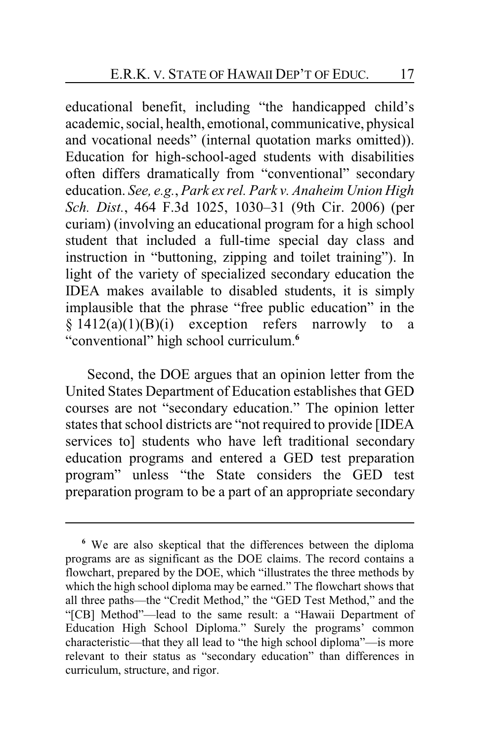educational benefit, including "the handicapped child's academic, social, health, emotional, communicative, physical and vocational needs" (internal quotation marks omitted)). Education for high-school-aged students with disabilities often differs dramatically from "conventional" secondary education. *See, e.g.*, *Park ex rel. Park v. Anaheim Union High Sch. Dist.*, 464 F.3d 1025, 1030–31 (9th Cir. 2006) (per curiam) (involving an educational program for a high school student that included a full-time special day class and instruction in "buttoning, zipping and toilet training"). In light of the variety of specialized secondary education the IDEA makes available to disabled students, it is simply implausible that the phrase "free public education" in the  $§ 1412(a)(1)(B)(i)$  exception refers narrowly to a "conventional" high school curriculum.**<sup>6</sup>**

Second, the DOE argues that an opinion letter from the United States Department of Education establishes that GED courses are not "secondary education." The opinion letter states that school districts are "not required to provide [IDEA services to] students who have left traditional secondary education programs and entered a GED test preparation program" unless "the State considers the GED test preparation program to be a part of an appropriate secondary

**<sup>6</sup>** We are also skeptical that the differences between the diploma programs are as significant as the DOE claims. The record contains a flowchart, prepared by the DOE, which "illustrates the three methods by which the high school diploma may be earned." The flowchart shows that all three paths—the "Credit Method," the "GED Test Method," and the "[CB] Method"—lead to the same result: a "Hawaii Department of Education High School Diploma." Surely the programs' common characteristic—that they all lead to "the high school diploma"—is more relevant to their status as "secondary education" than differences in curriculum, structure, and rigor.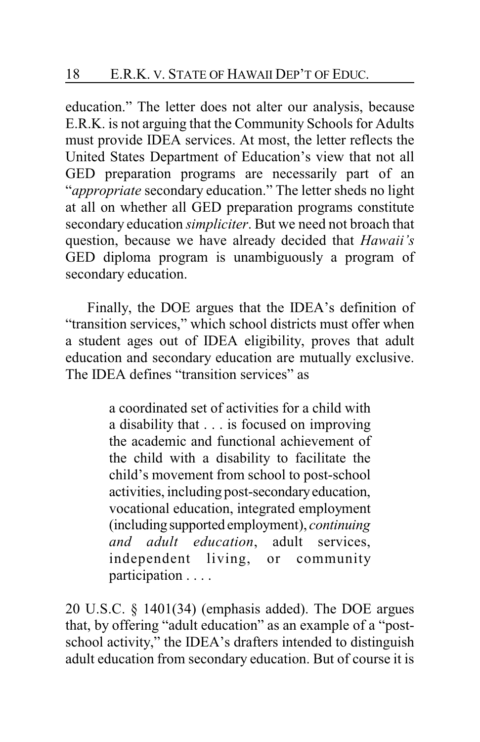education." The letter does not alter our analysis, because E.R.K. is not arguing that the Community Schools for Adults must provide IDEA services. At most, the letter reflects the United States Department of Education's view that not all GED preparation programs are necessarily part of an "*appropriate* secondary education." The letter sheds no light at all on whether all GED preparation programs constitute secondary education *simpliciter*. But we need not broach that question, because we have already decided that *Hawaii's* GED diploma program is unambiguously a program of secondary education.

Finally, the DOE argues that the IDEA's definition of "transition services," which school districts must offer when a student ages out of IDEA eligibility, proves that adult education and secondary education are mutually exclusive. The IDEA defines "transition services" as

> a coordinated set of activities for a child with a disability that . . . is focused on improving the academic and functional achievement of the child with a disability to facilitate the child's movement from school to post-school activities, including post-secondaryeducation, vocational education, integrated employment (includingsupported employment), *continuing and adult education*, adult services, independent living, or community participation . . . .

20 U.S.C. § 1401(34) (emphasis added). The DOE argues that, by offering "adult education" as an example of a "postschool activity," the IDEA's drafters intended to distinguish adult education from secondary education. But of course it is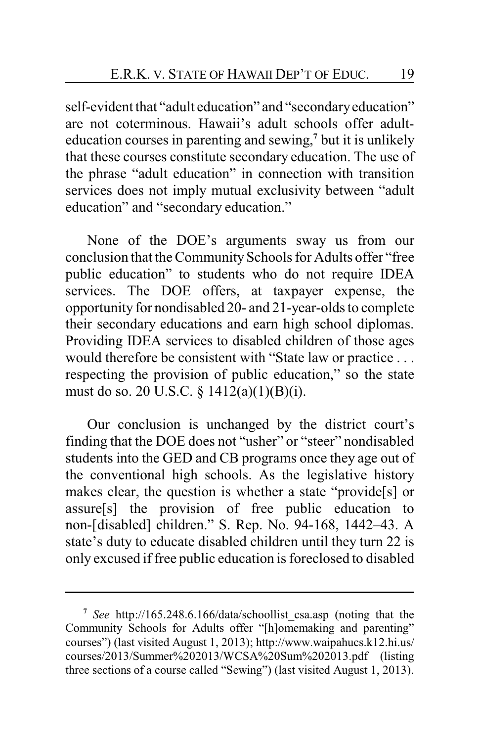self-evident that "adult education" and "secondaryeducation" are not coterminous. Hawaii's adult schools offer adulteducation courses in parenting and sewing, **7** but it is unlikely that these courses constitute secondary education. The use of the phrase "adult education" in connection with transition services does not imply mutual exclusivity between "adult education" and "secondary education."

None of the DOE's arguments sway us from our conclusion that the Community Schools for Adults offer "free public education" to students who do not require IDEA services. The DOE offers, at taxpayer expense, the opportunity for nondisabled 20- and 21-year-olds to complete their secondary educations and earn high school diplomas. Providing IDEA services to disabled children of those ages would therefore be consistent with "State law or practice . . . respecting the provision of public education," so the state must do so. 20 U.S.C. § 1412(a)(1)(B)(i).

Our conclusion is unchanged by the district court's finding that the DOE does not "usher" or "steer" nondisabled students into the GED and CB programs once they age out of the conventional high schools. As the legislative history makes clear, the question is whether a state "provide[s] or assure[s] the provision of free public education to non-[disabled] children." S. Rep. No. 94-168, 1442–43. A state's duty to educate disabled children until they turn 22 is only excused if free public education is foreclosed to disabled

**<sup>7</sup>** *See* http://165.248.6.166/data/schoollist\_csa.asp (noting that the Community Schools for Adults offer "[h]omemaking and parenting" courses") (last visited August 1, 2013); http://www.waipahucs.k12.hi.us/ courses/2013/Summer%202013/WCSA%20Sum%202013.pdf (listing three sections of a course called "Sewing") (last visited August 1, 2013).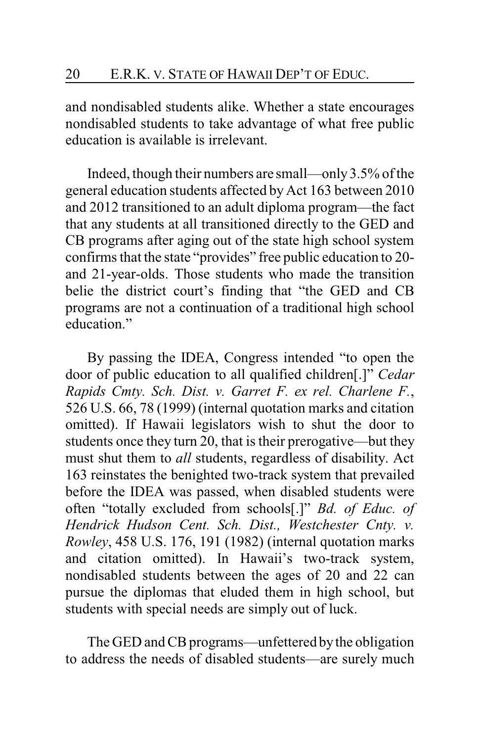and nondisabled students alike. Whether a state encourages nondisabled students to take advantage of what free public education is available is irrelevant.

Indeed, though their numbers are small—only3.5% of the general education students affected by Act 163 between 2010 and 2012 transitioned to an adult diploma program—the fact that any students at all transitioned directly to the GED and CB programs after aging out of the state high school system confirms that the state "provides" free public education to 20 and 21-year-olds. Those students who made the transition belie the district court's finding that "the GED and CB programs are not a continuation of a traditional high school education."

By passing the IDEA, Congress intended "to open the door of public education to all qualified children[.]" *Cedar Rapids Cmty. Sch. Dist. v. Garret F. ex rel. Charlene F.*, 526 U.S. 66, 78 (1999) (internal quotation marks and citation omitted). If Hawaii legislators wish to shut the door to students once they turn 20, that is their prerogative—but they must shut them to *all* students, regardless of disability. Act 163 reinstates the benighted two-track system that prevailed before the IDEA was passed, when disabled students were often "totally excluded from schools[.]" *Bd. of Educ. of Hendrick Hudson Cent. Sch. Dist., Westchester Cnty. v. Rowley*, 458 U.S. 176, 191 (1982) (internal quotation marks and citation omitted). In Hawaii's two-track system, nondisabled students between the ages of 20 and 22 can pursue the diplomas that eluded them in high school, but students with special needs are simply out of luck.

The GED and CB programs—unfettered by the obligation to address the needs of disabled students—are surely much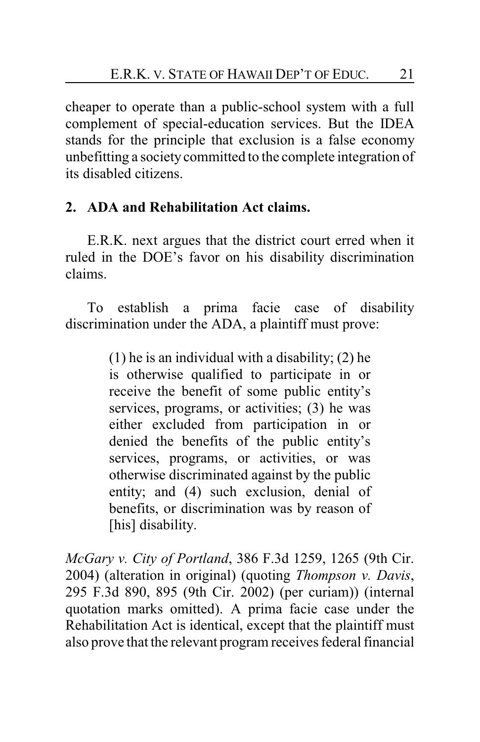cheaper to operate than a public-school system with a full complement of special-education services. But the IDEA stands for the principle that exclusion is a false economy unbefitting a society committed to the complete integration of its disabled citizens.

# **2. ADA and Rehabilitation Act claims.**

E.R.K. next argues that the district court erred when it ruled in the DOE's favor on his disability discrimination claims.

To establish a prima facie case of disability discrimination under the ADA, a plaintiff must prove:

> (1) he is an individual with a disability; (2) he is otherwise qualified to participate in or receive the benefit of some public entity's services, programs, or activities; (3) he was either excluded from participation in or denied the benefits of the public entity's services, programs, or activities, or was otherwise discriminated against by the public entity; and (4) such exclusion, denial of benefits, or discrimination was by reason of [his] disability.

*McGary v. City of Portland*, 386 F.3d 1259, 1265 (9th Cir. 2004) (alteration in original) (quoting *Thompson v. Davis*, 295 F.3d 890, 895 (9th Cir. 2002) (per curiam)) (internal quotation marks omitted). A prima facie case under the Rehabilitation Act is identical, except that the plaintiff must also prove that the relevant program receives federal financial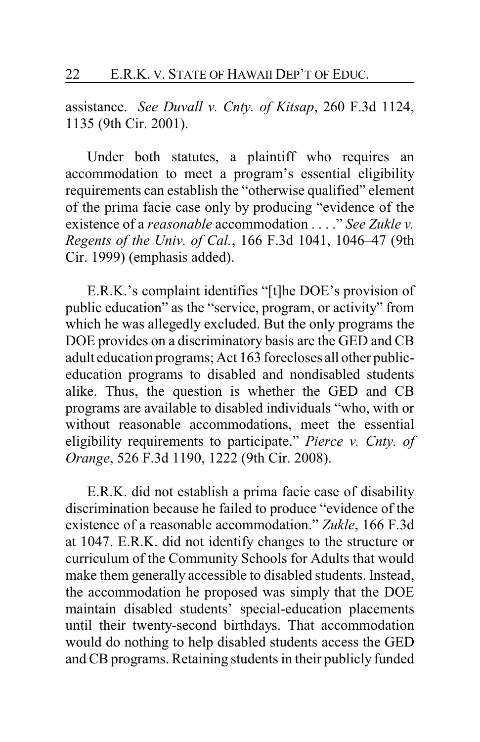assistance. *See Duvall v. Cnty. of Kitsap*, 260 F.3d 1124, 1135 (9th Cir. 2001).

Under both statutes, a plaintiff who requires an accommodation to meet a program's essential eligibility requirements can establish the "otherwise qualified" element of the prima facie case only by producing "evidence of the existence of a *reasonable* accommodation . . . ." *See Zukle v. Regents of the Univ. of Cal.*, 166 F.3d 1041, 1046–47 (9th Cir. 1999) (emphasis added).

E.R.K.'s complaint identifies "[t]he DOE's provision of public education" as the "service, program, or activity" from which he was allegedly excluded. But the only programs the DOE provides on a discriminatory basis are the GED and CB adult education programs; Act 163 forecloses all other publiceducation programs to disabled and nondisabled students alike. Thus, the question is whether the GED and CB programs are available to disabled individuals "who, with or without reasonable accommodations, meet the essential eligibility requirements to participate." *Pierce v. Cnty. of Orange*, 526 F.3d 1190, 1222 (9th Cir. 2008).

E.R.K. did not establish a prima facie case of disability discrimination because he failed to produce "evidence of the existence of a reasonable accommodation." *Zukle*, 166 F.3d at 1047. E.R.K. did not identify changes to the structure or curriculum of the Community Schools for Adults that would make them generally accessible to disabled students. Instead, the accommodation he proposed was simply that the DOE maintain disabled students' special-education placements until their twenty-second birthdays. That accommodation would do nothing to help disabled students access the GED and CB programs. Retaining students in their publicly funded